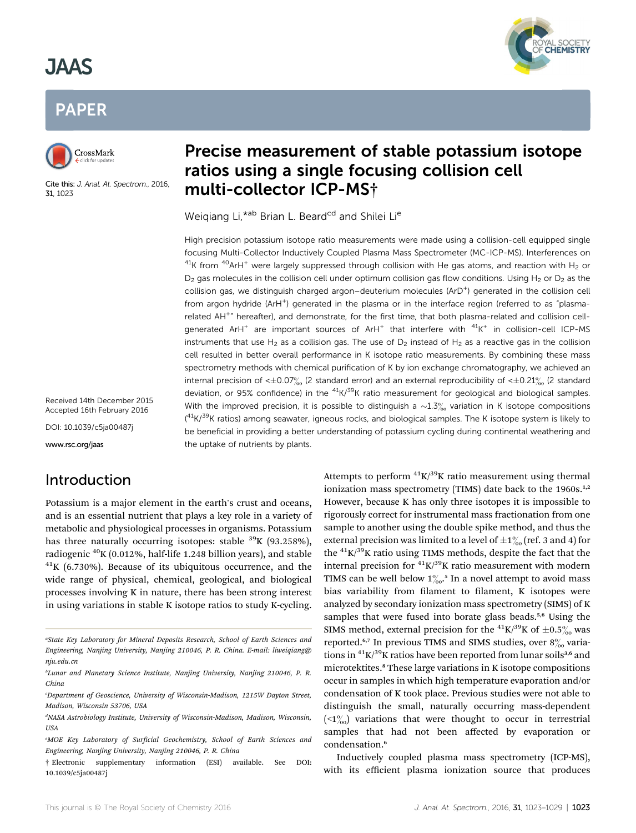## **JAAS** JAAS





Cite this: J. Anal. At. Spectrom., 2016, 31, 1023

# Precise measurement of stable potassium isotope<br>ratios using a single focusing collision cell multi-collector ICP-MS†

AL SOCIETY<br>C**hemistry** 

Weigiang Li,\*ab Brian L. Beard<sup>cd</sup> and Shilei Li<sup>e</sup>

High precision potassium isotope ratio measurements were made using a collision-cell equipped single focusing Multi-Collector Inductively Coupled Plasma Mass Spectrometer (MC-ICP-MS). Interferences on  $^{41}$ K from  $^{40}$ ArH<sup>+</sup> were largely suppressed through collision with He gas atoms, and reaction with H<sub>2</sub> or  $D<sub>2</sub>$  gas molecules in the collision cell under optimum collision gas flow conditions. Using H<sub>2</sub> or D<sub>2</sub> as the collision gas, we distinguish charged argon-deuterium molecules (ArD<sup>+</sup>) generated in the collision cell from argon hydride (ArH<sup>+</sup>) generated in the plasma or in the interface region (referred to as "plasmarelated AH<sup>+</sup>" hereafter), and demonstrate, for the first time, that both plasma-related and collision cellgenerated ArH<sup>+</sup> are important sources of ArH<sup>+</sup> that interfere with  $41K^+$  in collision-cell ICP-MS instruments that use H<sub>2</sub> as a collision gas. The use of  $D_2$  instead of H<sub>2</sub> as a reactive gas in the collision cell resulted in better overall performance in K isotope ratio measurements. By combining these mass spectrometry methods with chemical purification of K by ion exchange chromatography, we achieved an internal precision of  $\leq 0.07\frac{\mu}{\pi}$  (2 standard error) and an external reproducibility of  $\leq 0.21\frac{\mu}{\pi}$  (2 standard deviation, or 95% confidence) in the  $^{41}$ K/ $^{39}$ K ratio measurement for geological and biological samples. With the improved precision, it is possible to distinguish a  $\sim 1.3\%$  variation in K isotope compositions  $(41K)^{39}$ K ratios) among seawater, igneous rocks, and biological samples. The K isotope system is likely to be beneficial in providing a better understanding of potassium cycling during continental weathering and the uptake of nutrients by plants.

Received 14th December 2015 Accepted 16th February 2016

DOI: 10.1039/c5ja00487j

www.rsc.org/jaas

## Introduction

Potassium is a major element in the earth's crust and oceans, and is an essential nutrient that plays a key role in a variety of metabolic and physiological processes in organisms. Potassium has three naturally occurring isotopes: stable  $39K$  (93.258%), radiogenic  $^{40}$ K (0.012%, half-life 1.248 billion years), and stable  $^{41}$ K (6.730%). Because of its ubiquitous occurrence, and the wide range of physical, chemical, geological, and biological processes involving K in nature, there has been strong interest in using variations in stable K isotope ratios to study K-cycling.

Attempts to perform  ${}^{41}$ K/ ${}^{39}$ K ratio measurement using thermal ionization mass spectrometry (TIMS) date back to the  $1960s$ .<sup>1,2</sup> However, because K has only three isotopes it is impossible to rigorously correct for instrumental mass fractionation from one sample to another using the double spike method, and thus the external precision was limited to a level of  $\pm 1%$  (ref. 3 and 4) for the  ${}^{41}$ K/ ${}^{39}$ K ratio using TIMS methods, despite the fact that the internal precision for  ${}^{41}$ K/ ${}^{39}$ K ratio measurement with modern TIMS can be well below  $1\%$ .<sup>5</sup> In a novel attempt to avoid mass bias variability from filament to filament, K isotopes were analyzed by secondary ionization mass spectrometry (SIMS) of K samples that were fused into borate glass beads.<sup>5,6</sup> Using the SIMS method, external precision for the <sup>41</sup>K/<sup>39</sup>K of  $\pm 0.5\%$  was reported.<sup>6,7</sup> In previous TIMS and SIMS studies, over  $8\%$  variations in  ${}^{41}$ K/ ${}^{39}$ K ratios have been reported from lunar soils<sup>3,6</sup> and microtektites.<sup>8</sup> These large variations in K isotope compositions occur in samples in which high temperature evaporation and/or condensation of K took place. Previous studies were not able to distinguish the small, naturally occurring mass-dependent  $(2\%)$  variations that were thought to occur in terrestrial samples that had not been affected by evaporation or condensation.<sup>6</sup>

Inductively coupled plasma mass spectrometry (ICP-MS), with its efficient plasma ionization source that produces

a State Key Laboratory for Mineral Deposits Research, School of Earth Sciences and Engineering, Nanjing University, Nanjing 210046, P. R. China. E-mail: liweiqiang@ nju.edu.cn

b Lunar and Planetary Science Institute, Nanjing University, Nanjing 210046, P. R. China

c Department of Geoscience, University of Wisconsin-Madison, 1215W Dayton Street, Madison, Wisconsin 53706, USA

d NASA Astrobiology Institute, University of Wisconsin-Madison, Madison, Wisconsin, USA

<sup>&</sup>lt;sup>e</sup>MOE Key Laboratory of Surficial Geochemistry, School of Earth Sciences and Engineering, Nanjing University, Nanjing 210046, P. R. China

<sup>†</sup> Electronic supplementary information (ESI) available. See DOI: 10.1039/c5ja00487j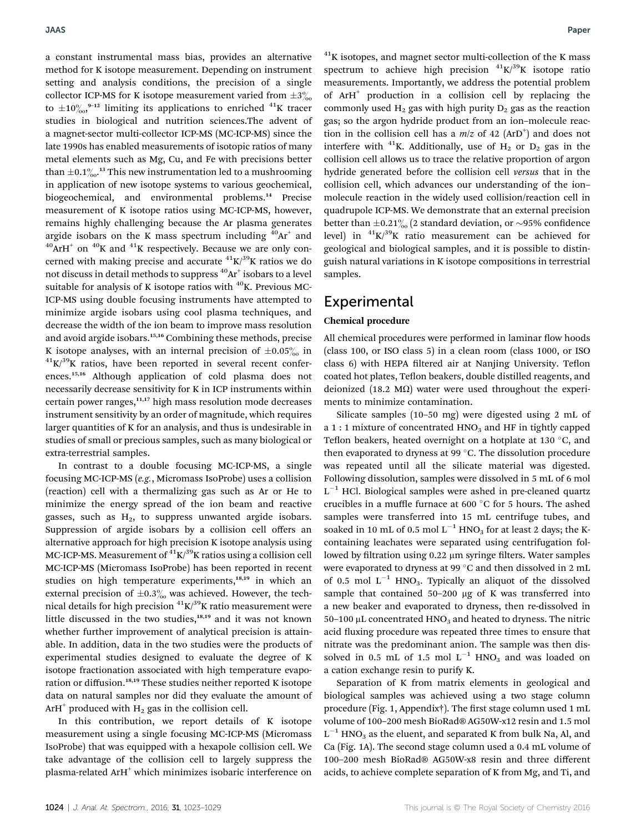a constant instrumental mass bias, provides an alternative method for K isotope measurement. Depending on instrument setting and analysis conditions, the precision of a single collector ICP-MS for K isotope measurement varied from  $\pm 3\%$ to  $\pm 10^{o}$ <sub>00</sub>,<sup>9-12</sup> limiting its applications to enriched <sup>41</sup>K tracer studies in biological and nutrition sciences.The advent of a magnet-sector multi-collector ICP-MS (MC-ICP-MS) since the late 1990s has enabled measurements of isotopic ratios of many metal elements such as Mg, Cu, and Fe with precisions better than  $\pm$ 0.1 $\%$ .<sup>13</sup> This new instrumentation led to a mushrooming in application of new isotope systems to various geochemical, biogeochemical, and environmental problems.<sup>14</sup> Precise measurement of K isotope ratios using MC-ICP-MS, however, remains highly challenging because the Ar plasma generates argide isobars on the K mass spectrum including  $40Ar^+$  and  $^{40}$ ArH<sup>+</sup> on  $^{40}$ K and  $^{41}$ K respectively. Because we are only concerned with making precise and accurate  ${}^{41}K/{}^{39}K$  ratios we do not discuss in detail methods to suppress  ${}^{40}Ar$ <sup>+</sup> isobars to a level suitable for analysis of K isotope ratios with  $^{40}$ K. Previous MC-ICP-MS using double focusing instruments have attempted to minimize argide isobars using cool plasma techniques, and decrease the width of the ion beam to improve mass resolution and avoid argide isobars.15,16 Combining these methods, precise K isotope analyses, with an internal precision of  $\pm 0.05\%$  in  $^{41}K/^{39}K$  ratios, have been reported in several recent conferences.15,16 Although application of cold plasma does not necessarily decrease sensitivity for K in ICP instruments within certain power ranges, $11,17$  high mass resolution mode decreases instrument sensitivity by an order of magnitude, which requires larger quantities of K for an analysis, and thus is undesirable in studies of small or precious samples, such as many biological or extra-terrestrial samples.

In contrast to a double focusing MC-ICP-MS, a single focusing MC-ICP-MS (e.g., Micromass IsoProbe) uses a collision (reaction) cell with a thermalizing gas such as Ar or He to minimize the energy spread of the ion beam and reactive gasses, such as  $H_2$ , to suppress unwanted argide isobars. Suppression of argide isobars by a collision cell offers an alternative approach for high precision K isotope analysis using MC-ICP-MS. Measurement of  $\rm ^{41}K/^{39}K$  ratios using a collision cell MC-ICP-MS (Micromass IsoProbe) has been reported in recent studies on high temperature experiments,<sup>18,19</sup> in which an external precision of  $\pm 0.3\%$  was achieved. However, the technical details for high precision  ${}^{41}$ K/ ${}^{39}$ K ratio measurement were little discussed in the two studies, $18,19$  and it was not known whether further improvement of analytical precision is attainable. In addition, data in the two studies were the products of experimental studies designed to evaluate the degree of K isotope fractionation associated with high temperature evaporation or diffusion.18,19 These studies neither reported K isotope data on natural samples nor did they evaluate the amount of ArH<sup>+</sup> produced with  $H_2$  gas in the collision cell.

In this contribution, we report details of K isotope measurement using a single focusing MC-ICP-MS (Micromass IsoProbe) that was equipped with a hexapole collision cell. We take advantage of the collision cell to largely suppress the plasma-related ArH<sup>+</sup> which minimizes isobaric interference on

 $A^{41}$ K isotopes, and magnet sector multi-collection of the K mass spectrum to achieve high precision  ${}^{41}$ K/ ${}^{39}$ K isotope ratio measurements. Importantly, we address the potential problem of ArH<sup>+</sup> production in a collision cell by replacing the commonly used  $H_2$  gas with high purity  $D_2$  gas as the reaction gas; so the argon hydride product from an ion–molecule reaction in the collision cell has a  $m/z$  of 42 (ArD<sup>+</sup>) and does not interfere with  $^{41}$ K. Additionally, use of H<sub>2</sub> or D<sub>2</sub> gas in the collision cell allows us to trace the relative proportion of argon hydride generated before the collision cell versus that in the collision cell, which advances our understanding of the ion– molecule reaction in the widely used collision/reaction cell in quadrupole ICP-MS. We demonstrate that an external precision better than  $\pm 0.21\%$  (2 standard deviation, or ~95% confidence level) in  ${}^{41}$ K/ ${}^{39}$ K ratio measurement can be achieved for geological and biological samples, and it is possible to distinguish natural variations in K isotope compositions in terrestrial samples.

## **Experimental**

#### Chemical procedure

All chemical procedures were performed in laminar flow hoods (class 100, or ISO class 5) in a clean room (class 1000, or ISO class 6) with HEPA filtered air at Nanjing University. Teflon coated hot plates, Teflon beakers, double distilled reagents, and deionized (18.2 M $\Omega$ ) water were used throughout the experiments to minimize contamination.

Silicate samples (10–50 mg) were digested using 2 mL of a 1 : 1 mixture of concentrated  $HNO<sub>3</sub>$  and HF in tightly capped Teflon beakers, heated overnight on a hotplate at 130  $\degree$ C, and then evaporated to dryness at 99 $\degree$ C. The dissolution procedure was repeated until all the silicate material was digested. Following dissolution, samples were dissolved in 5 mL of 6 mol  $L^{-1}$  HCl. Biological samples were ashed in pre-cleaned quartz crucibles in a muffle furnace at 600  $^{\circ}$ C for 5 hours. The ashed samples were transferred into 15 mL centrifuge tubes, and soaked in 10 mL of 0.5 mol  $L^{-1}$  HNO<sub>3</sub> for at least 2 days; the Kcontaining leachates were separated using centrifugation followed by filtration using  $0.22 \mu m$  syringe filters. Water samples were evaporated to dryness at 99 °C and then dissolved in 2 mL of 0.5 mol  $L^{-1}$  HNO<sub>3</sub>. Typically an aliquot of the dissolved sample that contained  $50-200 \mu g$  of K was transferred into a new beaker and evaporated to dryness, then re-dissolved in 50–100  $\mu$ L concentrated HNO<sub>3</sub> and heated to dryness. The nitric acid fluxing procedure was repeated three times to ensure that nitrate was the predominant anion. The sample was then dissolved in 0.5 mL of 1.5 mol  $L^{-1}$  HNO<sub>3</sub> and was loaded on a cation exchange resin to purify K.

Separation of K from matrix elements in geological and biological samples was achieved using a two stage column procedure (Fig. 1, Appendix†). The first stage column used 1 mL volume of 100–200 mesh BioRad® AG50W-x12 resin and 1.5 mol  $L^{-1}$  HNO<sub>3</sub> as the eluent, and separated K from bulk Na, Al, and Ca (Fig. 1A). The second stage column used a 0.4 mL volume of 100–200 mesh BioRad® AG50W-x8 resin and three different acids, to achieve complete separation of K from Mg, and Ti, and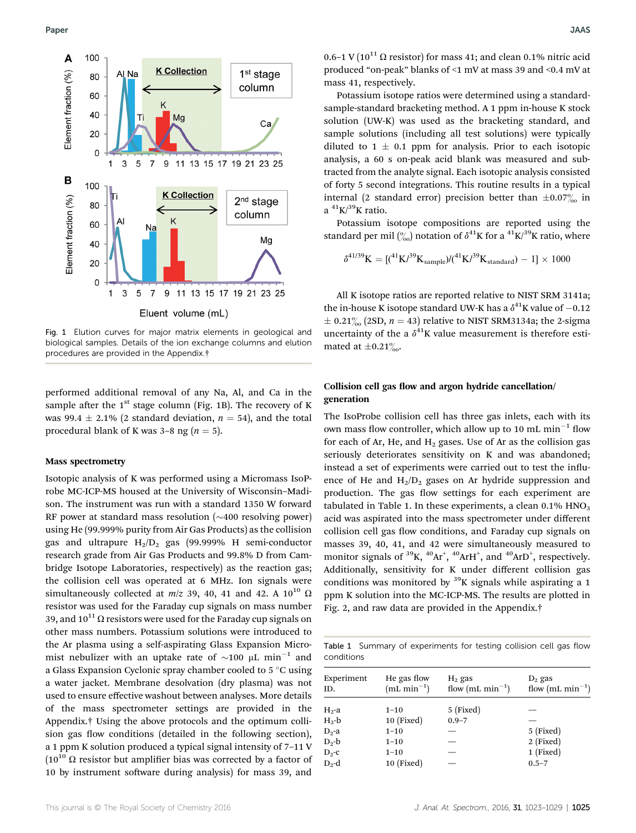

Fig. 1 Elution curves for major matrix elements in geological and biological samples. Details of the ion exchange columns and elution procedures are provided in the Appendix.†

performed additional removal of any Na, Al, and Ca in the sample after the  $1<sup>st</sup>$  stage column (Fig. 1B). The recovery of K was 99.4  $\pm$  2.1% (2 standard deviation,  $n = 54$ ), and the total procedural blank of K was 3–8 ng ( $n = 5$ ).

#### Mass spectrometry

Isotopic analysis of K was performed using a Micromass IsoProbe MC-ICP-MS housed at the University of Wisconsin–Madison. The instrument was run with a standard 1350 W forward RF power at standard mass resolution  $(\sim 400 \text{ resolving power})$ using He (99.999% purity from Air Gas Products) as the collision gas and ultrapure  $H_2/D_2$  gas (99.999% H semi-conductor research grade from Air Gas Products and 99.8% D from Cambridge Isotope Laboratories, respectively) as the reaction gas; the collision cell was operated at 6 MHz. Ion signals were simultaneously collected at  $m/z$  39, 40, 41 and 42. A 10<sup>10</sup>  $\Omega$ resistor was used for the Faraday cup signals on mass number 39, and  $10^{11} \Omega$  resistors were used for the Faraday cup signals on other mass numbers. Potassium solutions were introduced to the Ar plasma using a self-aspirating Glass Expansion Micromist nebulizer with an uptake rate of  $\sim$ 100  $\mu$ L min<sup>-1</sup> and a Glass Expansion Cyclonic spray chamber cooled to 5 °C using a water jacket. Membrane desolvation (dry plasma) was not used to ensure effective washout between analyses. More details of the mass spectrometer settings are provided in the Appendix.† Using the above protocols and the optimum collision gas flow conditions (detailed in the following section), a 1 ppm K solution produced a typical signal intensity of 7–11 V ( $10^{10}$   $\Omega$  resistor but amplifier bias was corrected by a factor of 10 by instrument software during analysis) for mass 39, and

0.6–1 V ( $10^{11}$   $\Omega$  resistor) for mass 41; and clean 0.1% nitric acid produced "on-peak" blanks of <1 mV at mass 39 and <0.4 mV at mass 41, respectively.

Potassium isotope ratios were determined using a standardsample-standard bracketing method. A 1 ppm in-house K stock solution (UW-K) was used as the bracketing standard, and sample solutions (including all test solutions) were typically diluted to  $1 \pm 0.1$  ppm for analysis. Prior to each isotopic analysis, a 60 s on-peak acid blank was measured and subtracted from the analyte signal. Each isotopic analysis consisted of forty 5 second integrations. This routine results in a typical internal (2 standard error) precision better than  $\pm 0.07\%$  in  $a^{41}$ K $/39$ K ratio.

Potassium isotope compositions are reported using the standard per mil  $\binom{0}{00}$  notation of  $\delta^{41}$ K for a  $\binom{41}{10}$ K ratio, where

$$
\delta^{41/39}K = [(^{41}K/^{39}K_{\rm sample})/(^{41}K/^{39}K_{\rm standard}) - 1] \times 1000
$$

All K isotope ratios are reported relative to NIST SRM 3141a; the in-house K isotope standard UW-K has a  $\delta^{41}$ K value of  $-0.12$  $\pm$  0.21<sup>%</sup> (2SD, n = 43) relative to NIST SRM3134a; the 2-sigma uncertainty of the a  $\delta^{41}$ K value measurement is therefore estimated at  $\pm 0.21\%$ .

#### Collision cell gas flow and argon hydride cancellation/ generation

The IsoProbe collision cell has three gas inlets, each with its own mass flow controller, which allow up to 10 mL  $min^{-1}$  flow for each of Ar, He, and  $H_2$  gases. Use of Ar as the collision gas seriously deteriorates sensitivity on K and was abandoned; instead a set of experiments were carried out to test the influence of He and  $H_2/D_2$  gases on Ar hydride suppression and production. The gas flow settings for each experiment are tabulated in Table 1. In these experiments, a clean  $0.1\%$  HNO<sub>3</sub> acid was aspirated into the mass spectrometer under different collision cell gas flow conditions, and Faraday cup signals on masses 39, 40, 41, and 42 were simultaneously measured to monitor signals of <sup>39</sup>K, <sup>40</sup>Ar<sup>+</sup>, <sup>40</sup>ArH<sup>+</sup>, and <sup>40</sup>ArD<sup>+</sup>, respectively. Additionally, sensitivity for K under different collision gas conditions was monitored by  $39K$  signals while aspirating a 1 ppm K solution into the MC-ICP-MS. The results are plotted in Fig. 2, and raw data are provided in the Appendix.†

Table 1 Summary of experiments for testing collision cell gas flow conditions

| Experiment<br>ID. | He gas flow<br>$(mL min-1)$ | $H_2$ gas<br>flow (mL min <sup>-1</sup> ) | $D_2$ gas<br>flow $(mL min^{-1})$ |
|-------------------|-----------------------------|-------------------------------------------|-----------------------------------|
| $H_2$ -a          | $1 - 10$                    | 5 (Fixed)                                 |                                   |
| $H_2-b$           | 10 (Fixed)                  | $0.9 - 7$                                 |                                   |
| $D_2$ -a          | $1 - 10$                    |                                           | $5$ (Fixed)                       |
| $D_2 - b$         | $1 - 10$                    |                                           | $2$ (Fixed)                       |
| $D_2$ -c          | $1 - 10$                    |                                           | 1 (Fixed)                         |
| $D_2-d$           | $10$ (Fixed)                |                                           | $0.5 - 7$                         |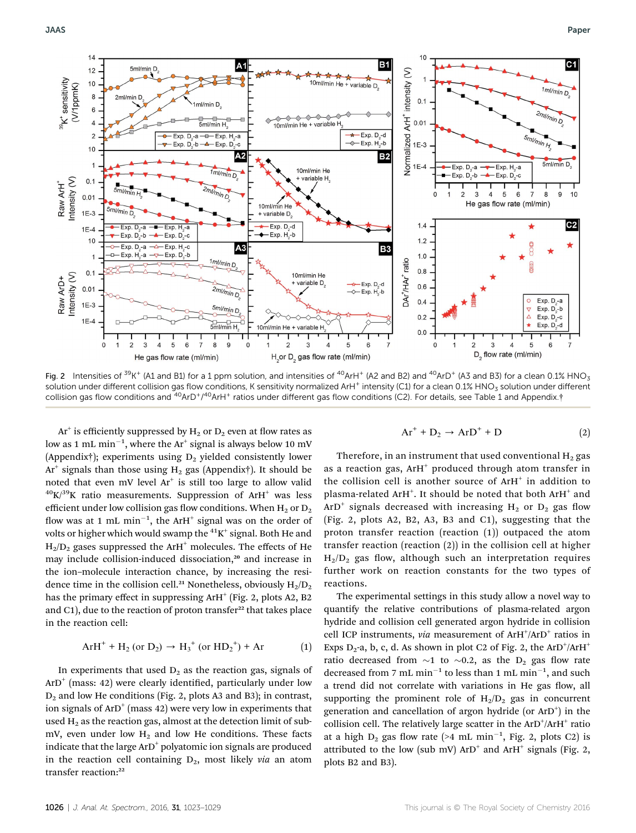

Fig. 2 Intensities of  $39K^+$  (A1 and B1) for a 1 ppm solution, and intensities of  $40ArH^+$  (A2 and B2) and  $40ArD^+$  (A3 and B3) for a clean 0.1% HNO<sub>3</sub> solution under different collision gas flow conditions, K sensitivity normalized ArH<sup>+</sup> intensity (C1) for a clean 0.1% HNO<sub>3</sub> solution under different collision gas flow conditions and <sup>40</sup>ArD<sup>+</sup>/<sup>40</sup>ArH<sup>+</sup> ratios under different gas flow conditions (C2). For details, see Table 1 and Appendix.†

 $Ar^+$  is efficiently suppressed by  $H_2$  or  $D_2$  even at flow rates as low as 1 mL min $^{-1}$ , where the Ar $^{\scriptscriptstyle +}$  signal is always below 10 mV (Appendix†); experiments using  $D_2$  yielded consistently lower Ar<sup>+</sup> signals than those using H<sub>2</sub> gas (Appendix†). It should be noted that even mV level  $Ar^+$  is still too large to allow valid  $^{40}$ K/ $^{39}$ K ratio measurements. Suppression of ArH<sup>+</sup> was less efficient under low collision gas flow conditions. When  $H_2$  or  $D_2$ flow was at 1 mL  $min^{-1}$ , the ArH<sup>+</sup> signal was on the order of volts or higher which would swamp the  ${}^{41}\text{K}^+$  signal. Both He and  $H_2/D_2$  gases suppressed the ArH<sup>+</sup> molecules. The effects of He may include collision-induced dissociation,<sup>20</sup> and increase in the ion–molecule interaction chance, by increasing the residence time in the collision cell.<sup>21</sup> Nonetheless, obviously  $H_2/D_2$ has the primary effect in suppressing  $A r H^+$  (Fig. 2, plots A2, B2) and  $C_1$ , due to the reaction of proton transfer<sup>22</sup> that takes place in the reaction cell:

$$
ArH^{+} + H_{2} (or D_{2}) \rightarrow H_{3}^{+} (or HD_{2}^{+}) + Ar
$$
 (1)

In experiments that used  $D_2$  as the reaction gas, signals of  $ArD<sup>+</sup>$  (mass: 42) were clearly identified, particularly under low D2 and low He conditions (Fig. 2, plots A3 and B3); in contrast, ion signals of  $ArD^+$  (mass 42) were very low in experiments that used  $H_2$  as the reaction gas, almost at the detection limit of submV, even under low  $H_2$  and low He conditions. These facts indicate that the large  $ArD^+$  polyatomic ion signals are produced in the reaction cell containing  $D_2$ , most likely via an atom transfer reaction:<sup>22</sup>

$$
Ar^{+} + D_{2} \rightarrow ArD^{+} + D
$$
 (2)

Therefore, in an instrument that used conventional  $H_2$  gas as a reaction gas,  $ArH^+$  produced through atom transfer in the collision cell is another source of  $ArH^+$  in addition to plasma-related ArH $^\text{+}$ . It should be noted that both ArH $^\text{+}$  and ArD<sup>+</sup> signals decreased with increasing  $H_2$  or  $D_2$  gas flow (Fig. 2, plots A2, B2, A3, B3 and C1), suggesting that the proton transfer reaction (reaction (1)) outpaced the atom transfer reaction (reaction (2)) in the collision cell at higher  $H_2/D_2$  gas flow, although such an interpretation requires further work on reaction constants for the two types of reactions.

The experimental settings in this study allow a novel way to quantify the relative contributions of plasma-related argon hydride and collision cell generated argon hydride in collision cell ICP instruments, via measurement of ArH<sup>+</sup>/ArD<sup>+</sup> ratios in Exps D<sub>2</sub>-a, b, c, d. As shown in plot C2 of Fig. 2, the ArD<sup>+</sup>/ArH<sup>+</sup> ratio decreased from  $\sim$ 1 to  $\sim$ 0.2, as the D<sub>2</sub> gas flow rate decreased from 7 mL min<sup>-1</sup> to less than 1 mL min<sup>-1</sup>, and such a trend did not correlate with variations in He gas flow, all supporting the prominent role of  $H_2/D_2$  gas in concurrent generation and cancellation of argon hydride (or ArD<sup>+</sup>) in the collision cell. The relatively large scatter in the ArD+/ArH+ ratio at a high  $D_2$  gas flow rate (>4 mL min<sup>-1</sup>, Fig. 2, plots C2) is attributed to the low (sub mV)  $ArD<sup>+</sup>$  and  $ArH<sup>+</sup>$  signals (Fig. 2, plots B2 and B3).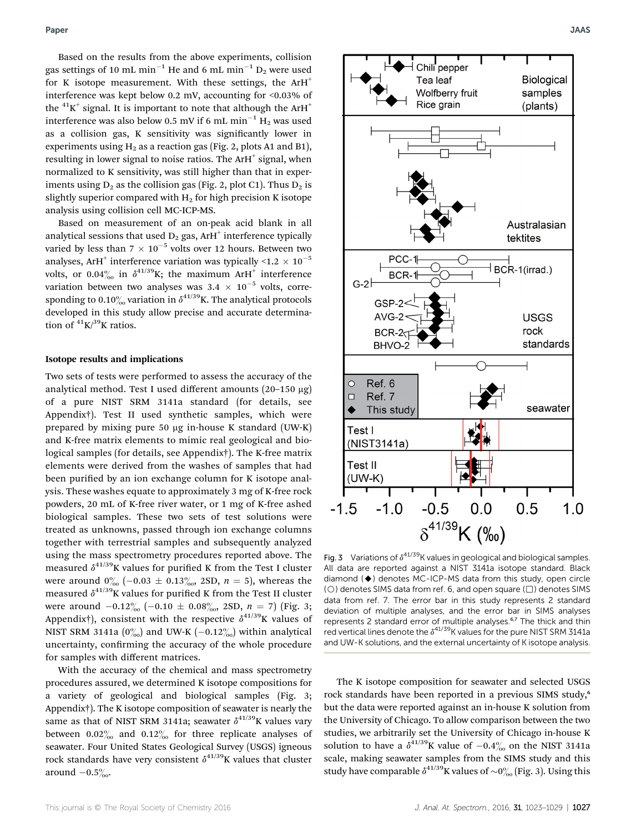Based on the results from the above experiments, collision gas settings of 10 mL min<sup>-1</sup> He and 6 mL min<sup>-1</sup> D<sub>2</sub> were used for K isotope measurement. With these settings, the  $ArH^+$ interference was kept below 0.2 mV, accounting for <0.03% of the  ${}^{41}$ K<sup>+</sup> signal. It is important to note that although the ArH<sup>+</sup> interference was also below 0.5 mV if 6 mL min<sup>-1</sup> H<sub>2</sub> was used as a collision gas, K sensitivity was signicantly lower in experiments using  $H_2$  as a reaction gas (Fig. 2, plots A1 and B1), resulting in lower signal to noise ratios. The ArH<sup>+</sup> signal, when normalized to K sensitivity, was still higher than that in experiments using  $D_2$  as the collision gas (Fig. 2, plot C1). Thus  $D_2$  is slightly superior compared with  $H_2$  for high precision K isotope analysis using collision cell MC-ICP-MS.

Based on measurement of an on-peak acid blank in all analytical sessions that used  $D_2$  gas, ArH<sup>+</sup> interference typically varied by less than  $7 \times 10^{-5}$  volts over 12 hours. Between two analyses, ArH<sup>+</sup> interference variation was typically  $\leq 1.2 \times 10^{-5}$ volts, or 0.04% in  $\delta^{41/39}$ K; the maximum ArH<sup>+</sup> interference variation between two analyses was  $3.4 \times 10^{-5}$  volts, corresponding to 0.10% variation in  $\delta^{41/39}$ K. The analytical protocols developed in this study allow precise and accurate determination of  ${}^{41}$ K $/{}^{39}$ K ratios.

#### Isotope results and implications

Two sets of tests were performed to assess the accuracy of the analytical method. Test I used different amounts (20-150 µg) of a pure NIST SRM 3141a standard (for details, see Appendix†). Test II used synthetic samples, which were prepared by mixing pure 50  $\mu$ g in-house K standard (UW-K) and K-free matrix elements to mimic real geological and biological samples (for details, see Appendix†). The K-free matrix elements were derived from the washes of samples that had been purified by an ion exchange column for K isotope analysis. These washes equate to approximately 3 mg of K-free rock powders, 20 mL of K-free river water, or 1 mg of K-free ashed biological samples. These two sets of test solutions were treated as unknowns, passed through ion exchange columns together with terrestrial samples and subsequently analyzed using the mass spectrometry procedures reported above. The measured  $\delta^{41/39}$ K values for purified K from the Test I cluster were around  $0^{0}_{00}$  (-0.03  $\pm$  0.13 $^{0}_{00}$ , 2SD, n = 5), whereas the measured  $\delta^{41/39}$ K values for purified K from the Test II cluster were around  $-0.12\%$  (-0.10  $\pm$  0.08%, 2SD, n = 7) (Fig. 3; Appendix†), consistent with the respective  $\delta^{41/39}$ K values of NIST SRM 3141a  $(0\%_{00})$  and UW-K  $(-0.12\%_{00})$  within analytical uncertainty, confirming the accuracy of the whole procedure for samples with different matrices.

With the accuracy of the chemical and mass spectrometry procedures assured, we determined K isotope compositions for a variety of geological and biological samples (Fig. 3; Appendix†). The K isotope composition of seawater is nearly the same as that of NIST SRM 3141a; seawater  $\delta^{41/39}$ K values vary between  $0.02\%$  and  $0.12\%$  for three replicate analyses of seawater. Four United States Geological Survey (USGS) igneous rock standards have very consistent  $\delta^{41/39}$ K values that cluster around  $-0.5\%$ .



Fig. 3 Variations of  $\delta^{41/39}$ K values in geological and biological samples. All data are reported against a NIST 3141a isotope standard. Black diamond (♦) denotes MC-ICP-MS data from this study, open circle ( $\bigcirc$ ) denotes SIMS data from ref. 6, and open square ( $\Box$ ) denotes SIMS data from ref. 7. The error bar in this study represents 2 standard deviation of multiple analyses, and the error bar in SIMS analyses represents 2 standard error of multiple analyses.<sup>6,7</sup> The thick and thin red vertical lines denote the  $\delta^{41/39}$ K values for the pure NIST SRM 3141a and UW-K solutions, and the external uncertainty of K isotope analysis.

The K isotope composition for seawater and selected USGS rock standards have been reported in a previous SIMS study,<sup>6</sup> but the data were reported against an in-house K solution from the University of Chicago. To allow comparison between the two studies, we arbitrarily set the University of Chicago in-house K solution to have a  $\delta^{41/39}$ K value of  $-0.4\%$  on the NIST 3141a scale, making seawater samples from the SIMS study and this study have comparable  $\delta^{41/39}$ K values of  $\sim 0\%$  (Fig. 3). Using this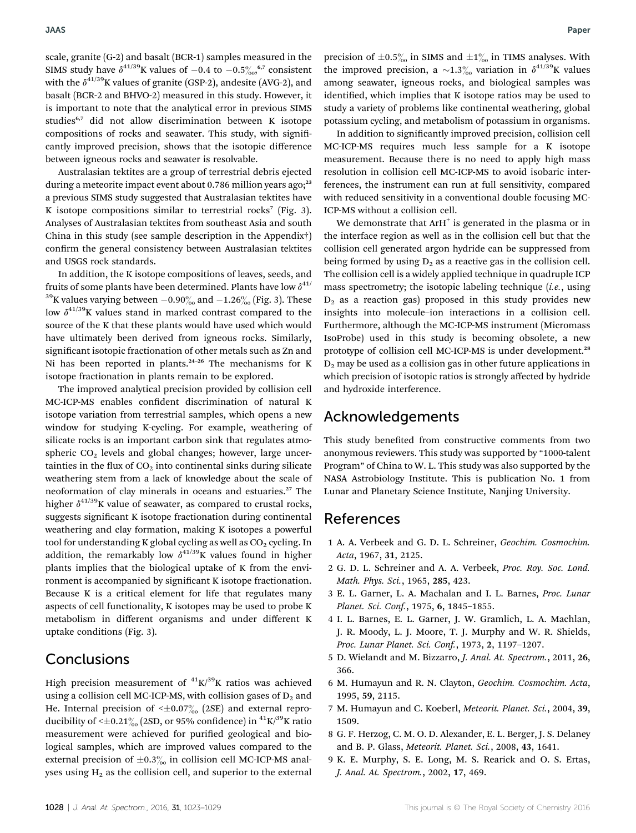scale, granite (G-2) and basalt (BCR-1) samples measured in the SIMS study have  $\delta^{41/39}$ K values of  $-0.4$  to  $-0.5\%$ ,  $\delta^{7}$  consistent with the  $\delta^{41/39}$ K values of granite (GSP-2), andesite (AVG-2), and basalt (BCR-2 and BHVO-2) measured in this study. However, it is important to note that the analytical error in previous SIMS studies<sup>6,7</sup> did not allow discrimination between K isotope compositions of rocks and seawater. This study, with significantly improved precision, shows that the isotopic difference between igneous rocks and seawater is resolvable.

Australasian tektites are a group of terrestrial debris ejected during a meteorite impact event about 0.786 million years ago;<sup>23</sup> a previous SIMS study suggested that Australasian tektites have K isotope compositions similar to terrestrial rocks<sup>7</sup> (Fig. 3). Analyses of Australasian tektites from southeast Asia and south China in this study (see sample description in the Appendix†) confirm the general consistency between Australasian tektites and USGS rock standards.

In addition, the K isotope compositions of leaves, seeds, and fruits of some plants have been determined. Plants have low  $\delta^{41/2}$ <sup>39</sup>K values varying between  $-0.90\%$  and  $-1.26\%$  (Fig. 3). These low  $\delta^{41/39}$ K values stand in marked contrast compared to the source of the K that these plants would have used which would have ultimately been derived from igneous rocks. Similarly, significant isotopic fractionation of other metals such as Zn and Ni has been reported in plants.<sup>24-26</sup> The mechanisms for K isotope fractionation in plants remain to be explored.

The improved analytical precision provided by collision cell MC-ICP-MS enables confident discrimination of natural K isotope variation from terrestrial samples, which opens a new window for studying K-cycling. For example, weathering of silicate rocks is an important carbon sink that regulates atmospheric  $CO<sub>2</sub>$  levels and global changes; however, large uncertainties in the flux of  $CO<sub>2</sub>$  into continental sinks during silicate weathering stem from a lack of knowledge about the scale of neoformation of clay minerals in oceans and estuaries.<sup>27</sup> The higher  $\delta^{41/39}$ K value of seawater, as compared to crustal rocks, suggests significant K isotope fractionation during continental weathering and clay formation, making K isotopes a powerful tool for understanding K global cycling as well as  $CO<sub>2</sub>$  cycling. In addition, the remarkably low  $\delta^{41/39}$ K values found in higher plants implies that the biological uptake of K from the environment is accompanied by significant K isotope fractionation. Because K is a critical element for life that regulates many aspects of cell functionality, K isotopes may be used to probe K metabolism in different organisms and under different K uptake conditions (Fig. 3).

## Conclusions

High precision measurement of  ${}^{41}K/{}^{39}K$  ratios was achieved using a collision cell MC-ICP-MS, with collision gases of  $D_2$  and He. Internal precision of  $\leq \pm 0.07\%$  (2SE) and external reproducibility of  $\leq \pm 0.21\%$  (2SD, or 95% confidence) in  ${}^{41}$ K/<sup>39</sup>K ratio measurement were achieved for purified geological and biological samples, which are improved values compared to the external precision of  $\pm 0.3\%$  in collision cell MC-ICP-MS analyses using  $H_2$  as the collision cell, and superior to the external precision of  $\pm 0.5\%$  in SIMS and  $\pm 1\%$  in TIMS analyses. With the improved precision, a  $\sim$ 1.3‰ variation in  $\delta$ <sup>41/39</sup>K values among seawater, igneous rocks, and biological samples was identified, which implies that K isotope ratios may be used to study a variety of problems like continental weathering, global potassium cycling, and metabolism of potassium in organisms.

In addition to significantly improved precision, collision cell MC-ICP-MS requires much less sample for a K isotope measurement. Because there is no need to apply high mass resolution in collision cell MC-ICP-MS to avoid isobaric interferences, the instrument can run at full sensitivity, compared with reduced sensitivity in a conventional double focusing MC-ICP-MS without a collision cell.

We demonstrate that  $\text{ArH}^+$  is generated in the plasma or in the interface region as well as in the collision cell but that the collision cell generated argon hydride can be suppressed from being formed by using  $D_2$  as a reactive gas in the collision cell. The collision cell is a widely applied technique in quadruple ICP mass spectrometry; the isotopic labeling technique  $(i.e.,$  using  $D_2$  as a reaction gas) proposed in this study provides new insights into molecule–ion interactions in a collision cell. Furthermore, although the MC-ICP-MS instrument (Micromass IsoProbe) used in this study is becoming obsolete, a new prototype of collision cell MC-ICP-MS is under development.<sup>28</sup>  $D_2$  may be used as a collision gas in other future applications in which precision of isotopic ratios is strongly affected by hydride and hydroxide interference.

### Acknowledgements

This study benefited from constructive comments from two anonymous reviewers. This study was supported by "1000-talent Program" of China to W. L. This study was also supported by the NASA Astrobiology Institute. This is publication No. 1 from Lunar and Planetary Science Institute, Nanjing University.

## References

- 1 A. A. Verbeek and G. D. L. Schreiner, Geochim. Cosmochim. Acta, 1967, 31, 2125.
- 2 G. D. L. Schreiner and A. A. Verbeek, Proc. Roy. Soc. Lond. Math. Phys. Sci., 1965, 285, 423.
- 3 E. L. Garner, L. A. Machalan and I. L. Barnes, Proc. Lunar Planet. Sci. Conf., 1975, 6, 1845–1855.
- 4 I. L. Barnes, E. L. Garner, J. W. Gramlich, L. A. Machlan, J. R. Moody, L. J. Moore, T. J. Murphy and W. R. Shields, Proc. Lunar Planet. Sci. Conf., 1973, 2, 1197–1207.
- 5 D. Wielandt and M. Bizzarro, J. Anal. At. Spectrom., 2011, 26, 366.
- 6 M. Humayun and R. N. Clayton, Geochim. Cosmochim. Acta, 1995, 59, 2115.
- 7 M. Humayun and C. Koeberl, Meteorit. Planet. Sci., 2004, 39, 1509.
- 8 G. F. Herzog, C. M. O. D. Alexander, E. L. Berger, J. S. Delaney and B. P. Glass, Meteorit. Planet. Sci., 2008, 43, 1641.
- 9 K. E. Murphy, S. E. Long, M. S. Rearick and O. S. Ertas, J. Anal. At. Spectrom., 2002, 17, 469.